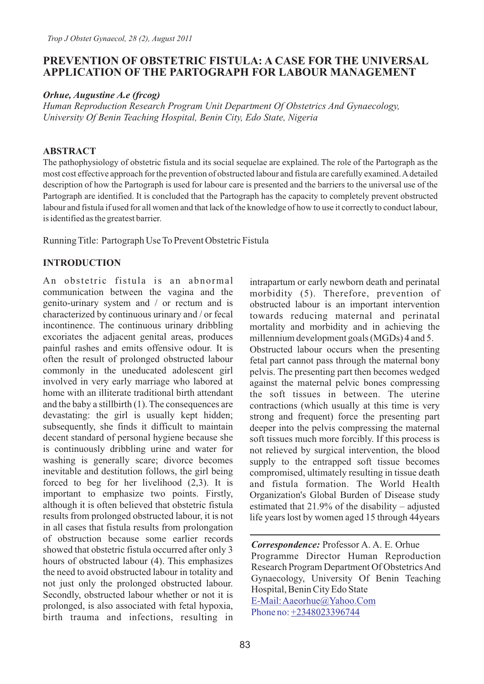## **PREVENTION OF OBSTETRIC FISTULA: A CASE FOR THE UNIVERSAL APPLICATION OF THE PARTOGRAPH FOR LABOUR MANAGEMENT**

*Orhue, Augustine A.e (frcog)*

*Human Reproduction Research Program Unit Department Of Obstetrics And Gynaecology, University Of Benin Teaching Hospital, Benin City, Edo State, Nigeria*

#### **ABSTRACT**

The pathophysiology of obstetric fistula and its social sequelae are explained. The role of the Partograph as the most cost effective approach for the prevention of obstructed labour and fistula are carefully examined. Adetailed description of how the Partograph is used for labour care is presented and the barriers to the universal use of the Partograph are identified. It is concluded that the Partograph has the capacity to completely prevent obstructed labour and fistula if used for all women and that lack of the knowledge of how to use it correctly to conduct labour, is identified as the greatest barrier.

Running Title: Partograph Use To Prevent Obstetric Fistula

#### **INTRODUCTION**

An obstetric fistula is an abnormal communication between the vagina and the genito-urinary system and / or rectum and is characterized by continuous urinary and / or fecal incontinence. The continuous urinary dribbling excoriates the adjacent genital areas, produces painful rashes and emits offensive odour. It is often the result of prolonged obstructed labour commonly in the uneducated adolescent girl involved in very early marriage who labored at home with an illiterate traditional birth attendant and the baby a stillbirth (1). The consequences are devastating: the girl is usually kept hidden; subsequently, she finds it difficult to maintain decent standard of personal hygiene because she is continuously dribbling urine and water for washing is generally scare; divorce becomes inevitable and destitution follows, the girl being forced to beg for her livelihood (2,3). It is important to emphasize two points. Firstly, although it is often believed that obstetric fistula results from prolonged obstructed labour, it is not in all cases that fistula results from prolongation of obstruction because some earlier records showed that obstetric fistula occurred after only 3 hours of obstructed labour (4). This emphasizes the need to avoid obstructed labour in totality and not just only the prolonged obstructed labour. Secondly, obstructed labour whether or not it is prolonged, is also associated with fetal hypoxia, birth trauma and infections, resulting in

intrapartum or early newborn death and perinatal morbidity (5). Therefore, prevention of obstructed labour is an important intervention towards reducing maternal and perinatal mortality and morbidity and in achieving the millennium development goals (MGDs) 4 and 5. Obstructed labour occurs when the presenting fetal part cannot pass through the maternal bony pelvis. The presenting part then becomes wedged against the maternal pelvic bones compressing

the soft tissues in between. The uterine contractions (which usually at this time is very strong and frequent) force the presenting part deeper into the pelvis compressing the maternal soft tissues much more forcibly. If this process is not relieved by surgical intervention, the blood supply to the entrapped soft tissue becomes compromised, ultimately resulting in tissue death and fistula formation. The World Health Organization's Global Burden of Disease study estimated that 21.9% of the disability – adjusted life years lost by women aged 15 through 44years

*Correspondence:* Professor A. A. E. Orhue Programme Director Human Reproduction Research Program Department Of Obstetrics And Gynaecology, University Of Benin Teaching Hospital, Benin City Edo State [E-Mail: Aaeorhue@Yahoo.Com](mailto:Aaeorhue@Yahoo.Com) Phone no: [+2348023396744](mailto:Aaeorhue@Yahoo.Com)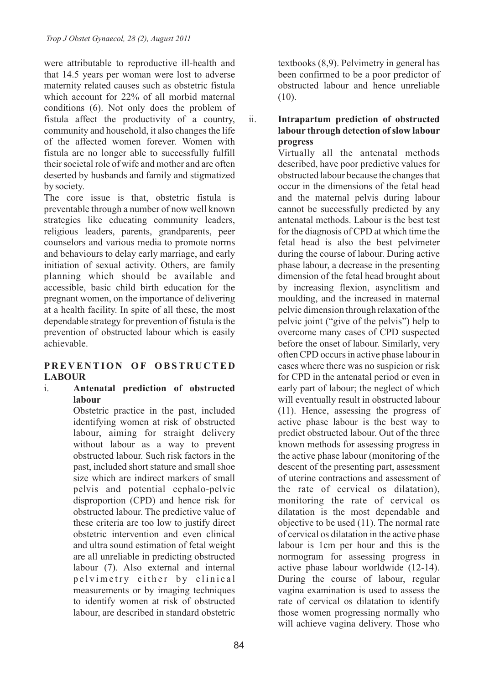were attributable to reproductive ill-health and that 14.5 years per woman were lost to adverse maternity related causes such as obstetric fistula which account for 22% of all morbid maternal conditions (6). Not only does the problem of fistula affect the productivity of a country, community and household, it also changes the life of the affected women forever. Women with fistula are no longer able to successfully fulfill their societal role of wife and mother and are often deserted by husbands and family and stigmatized by society.

The core issue is that, obstetric fistula is preventable through a number of now well known strategies like educating community leaders, religious leaders, parents, grandparents, peer counselors and various media to promote norms and behaviours to delay early marriage, and early initiation of sexual activity. Others, are family planning which should be available and accessible, basic child birth education for the pregnant women, on the importance of delivering at a health facility. In spite of all these, the most dependable strategy for prevention of fistula is the prevention of obstructed labour which is easily achievable.

### **P R E V E N TION OF OBST R U C TE D LABOUR**

i. **Antenatal prediction of obstructed labour**

Obstetric practice in the past, included identifying women at risk of obstructed labour, aiming for straight delivery without labour as a way to prevent obstructed labour. Such risk factors in the past, included short stature and small shoe size which are indirect markers of small pelvis and potential cephalo-pelvic disproportion (CPD) and hence risk for obstructed labour. The predictive value of these criteria are too low to justify direct obstetric intervention and even clinical and ultra sound estimation of fetal weight are all unreliable in predicting obstructed labour (7). Also external and internal p el vimetry either by clinical measurements or by imaging techniques to identify women at risk of obstructed labour, are described in standard obstetric

textbooks (8,9). Pelvimetry in general has been confirmed to be a poor predictor of obstructed labour and hence unreliable  $(10).$ 

ii. **Intrapartum prediction of obstructed labour through detection of slow labour progress**

Virtually all the antenatal methods described, have poor predictive values for obstructed labour because the changes that occur in the dimensions of the fetal head and the maternal pelvis during labour cannot be successfully predicted by any antenatal methods. Labour is the best test for the diagnosis of CPD at which time the fetal head is also the best pelvimeter during the course of labour. During active phase labour, a decrease in the presenting dimension of the fetal head brought about by increasing flexion, asynclitism and moulding, and the increased in maternal pelvic dimension through relaxation of the pelvic joint ("give of the pelvis") help to overcome many cases of CPD suspected before the onset of labour. Similarly, very often CPD occurs in active phase labour in cases where there was no suspicion or risk for CPD in the antenatal period or even in early part of labour; the neglect of which will eventually result in obstructed labour (11). Hence, assessing the progress of active phase labour is the best way to predict obstructed labour. Out of the three known methods for assessing progress in the active phase labour (monitoring of the descent of the presenting part, assessment of uterine contractions and assessment of the rate of cervical os dilatation), monitoring the rate of cervical os dilatation is the most dependable and objective to be used (11). The normal rate of cervical os dilatation in the active phase labour is 1cm per hour and this is the normogram for assessing progress in active phase labour worldwide (12-14). During the course of labour, regular vagina examination is used to assess the rate of cervical os dilatation to identify those women progressing normally who will achieve vagina delivery. Those who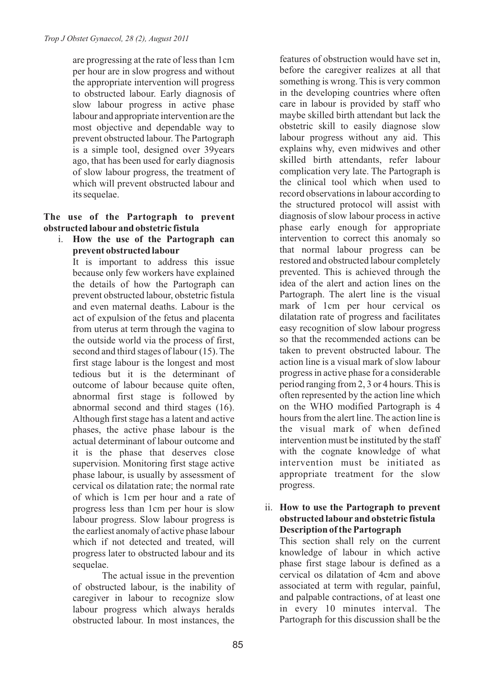are progressing at the rate of less than 1cm per hour are in slow progress and without the appropriate intervention will progress to obstructed labour. Early diagnosis of slow labour progress in active phase labour and appropriate intervention are the most objective and dependable way to prevent obstructed labour. The Partograph is a simple tool, designed over 39years ago, that has been used for early diagnosis of slow labour progress, the treatment of which will prevent obstructed labour and its sequelae.

# **The use of the Partograph to prevent obstructed labour and obstetric fistula**

i. **How the use of the Partograph can prevent obstructed labour**

It is important to address this issue because only few workers have explained the details of how the Partograph can prevent obstructed labour, obstetric fistula and even maternal deaths. Labour is the act of expulsion of the fetus and placenta from uterus at term through the vagina to the outside world via the process of first, second and third stages of labour (15). The first stage labour is the longest and most tedious but it is the determinant of outcome of labour because quite often, abnormal first stage is followed by abnormal second and third stages (16). Although first stage has a latent and active phases, the active phase labour is the actual determinant of labour outcome and it is the phase that deserves close supervision. Monitoring first stage active phase labour, is usually by assessment of cervical os dilatation rate; the normal rate of which is 1cm per hour and a rate of progress less than 1cm per hour is slow labour progress. Slow labour progress is the earliest anomaly of active phase labour which if not detected and treated, will progress later to obstructed labour and its sequelae.

The actual issue in the prevention of obstructed labour, is the inability of caregiver in labour to recognize slow labour progress which always heralds obstructed labour. In most instances, the features of obstruction would have set in, before the caregiver realizes at all that something is wrong. This is very common in the developing countries where often care in labour is provided by staff who maybe skilled birth attendant but lack the obstetric skill to easily diagnose slow labour progress without any aid. This explains why, even midwives and other skilled birth attendants, refer labour complication very late. The Partograph is the clinical tool which when used to record observations in labour according to the structured protocol will assist with diagnosis of slow labour process in active phase early enough for appropriate intervention to correct this anomaly so that normal labour progress can be restored and obstructed labour completely prevented. This is achieved through the idea of the alert and action lines on the Partograph. The alert line is the visual mark of 1cm per hour cervical os dilatation rate of progress and facilitates easy recognition of slow labour progress so that the recommended actions can be taken to prevent obstructed labour. The action line is a visual mark of slow labour progress in active phase for a considerable period ranging from 2, 3 or 4 hours. This is often represented by the action line which on the WHO modified Partograph is 4 hours from the alert line. The action line is the visual mark of when defined intervention must be instituted by the staff with the cognate knowledge of what intervention must be initiated as appropriate treatment for the slow progress.

ii. **How to use the Partograph to prevent obstructed labour and obstetric fistula Description of the Partograph** 

This section shall rely on the current knowledge of labour in which active phase first stage labour is defined as a cervical os dilatation of 4cm and above associated at term with regular, painful, and palpable contractions, of at least one in every 10 minutes interval. The Partograph for this discussion shall be the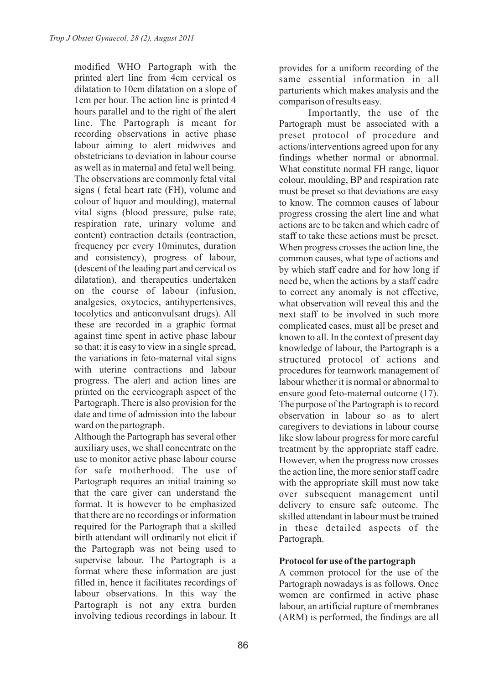modified WHO Partograph with the printed alert line from 4cm cervical os dilatation to 10cm dilatation on a slope of 1cm per hour. The action line is printed 4 hours parallel and to the right of the alert line. The Partograph is meant for recording observations in active phase labour aiming to alert midwives and obstetricians to deviation in labour course as well as in maternal and fetal well being. The observations are commonly fetal vital signs ( fetal heart rate (FH), volume and colour of liquor and moulding), maternal vital signs (blood pressure, pulse rate, respiration rate, urinary volume and content) contraction details (contraction, frequency per every 10minutes, duration and consistency), progress of labour, (descent of the leading part and cervical os dilatation), and therapeutics undertaken on the course of labour (infusion, analgesics, oxytocics, antihypertensives, tocolytics and anticonvulsant drugs). All these are recorded in a graphic format against time spent in active phase labour so that; it is easy to view in a single spread, the variations in feto-maternal vital signs with uterine contractions and labour progress. The alert and action lines are printed on the cervicograph aspect of the Partograph. There is also provision for the date and time of admission into the labour ward on the partograph.

Although the Partograph has several other auxiliary uses, we shall concentrate on the use to monitor active phase labour course for safe motherhood. The use of Partograph requires an initial training so that the care giver can understand the format. It is however to be emphasized that there are no recordings or information required for the Partograph that a skilled birth attendant will ordinarily not elicit if the Partograph was not being used to supervise labour. The Partograph is a format where these information are just filled in, hence it facilitates recordings of labour observations. In this way the Partograph is not any extra burden involving tedious recordings in labour. It provides for a uniform recording of the same essential information in all parturients which makes analysis and the comparison of results easy.

Importantly, the use of the Partograph must be associated with a preset protocol of procedure and actions/interventions agreed upon for any findings whether normal or abnormal. What constitute normal FH range, liquor colour, moulding, BP and respiration rate must be preset so that deviations are easy to know. The common causes of labour progress crossing the alert line and what actions are to be taken and which cadre of staff to take these actions must be preset. When progress crosses the action line, the common causes, what type of actions and by which staff cadre and for how long if need be, when the actions by a staff cadre to correct any anomaly is not effective, what observation will reveal this and the next staff to be involved in such more complicated cases, must all be preset and known to all. In the context of present day knowledge of labour, the Partograph is a structured protocol of actions and procedures for teamwork management of labour whether it is normal or abnormal to ensure good feto-maternal outcome (17). The purpose of the Partograph is to record observation in labour so as to alert caregivers to deviations in labour course like slow labour progress for more careful treatment by the appropriate staff cadre. However, when the progress now crosses the action line, the more senior staff cadre with the appropriate skill must now take over subsequent management until delivery to ensure safe outcome. The skilled attendant in labour must be trained in these detailed aspects of the Partograph.

# **Protocol foruse of the partograph**

A common protocol for the use of the Partograph nowadays is as follows. Once women are confirmed in active phase labour, an artificial rupture of membranes (ARM) is performed, the findings are all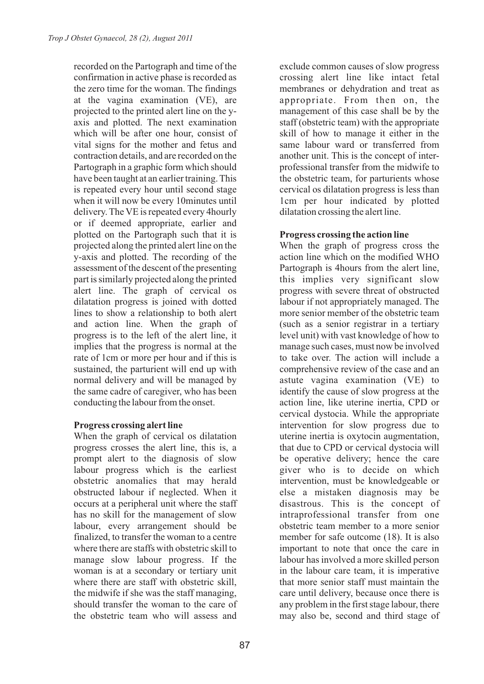recorded on the Partograph and time of the confirmation in active phase is recorded as the zero time for the woman. The findings at the vagina examination (VE), are projected to the printed alert line on the yaxis and plotted. The next examination which will be after one hour, consist of vital signs for the mother and fetus and contraction details, and are recorded on the Partograph in a graphic form which should have been taught at an earlier training. This is repeated every hour until second stage when it will now be every 10minutes until delivery. The VE is repeated every 4hourly or if deemed appropriate, earlier and plotted on the Partograph such that it is projected along the printed alert line on the y-axis and plotted. The recording of the assessment of the descent of the presenting part is similarly projected along the printed alert line. The graph of cervical os dilatation progress is joined with dotted lines to show a relationship to both alert and action line. When the graph of progress is to the left of the alert line, it implies that the progress is normal at the rate of 1cm or more per hour and if this is sustained, the parturient will end up with normal delivery and will be managed by the same cadre of caregiver, who has been conducting the labour from the onset.

### **Progress crossing alert line**

When the graph of cervical os dilatation progress crosses the alert line, this is, a prompt alert to the diagnosis of slow labour progress which is the earliest obstetric anomalies that may herald obstructed labour if neglected. When it occurs at a peripheral unit where the staff has no skill for the management of slow labour, every arrangement should be finalized, to transfer the woman to a centre where there are staffs with obstetric skill to manage slow labour progress. If the woman is at a secondary or tertiary unit where there are staff with obstetric skill, the midwife if she was the staff managing, should transfer the woman to the care of the obstetric team who will assess and

exclude common causes of slow progress crossing alert line like intact fetal membranes or dehydration and treat as appropriate. From then on, the management of this case shall be by the staff (obstetric team) with the appropriate skill of how to manage it either in the same labour ward or transferred from another unit. This is the concept of interprofessional transfer from the midwife to the obstetric team, for parturients whose cervical os dilatation progress is less than 1cm per hour indicated by plotted dilatation crossing the alert line.

# **Progress crossing the action line**

When the graph of progress cross the action line which on the modified WHO Partograph is 4hours from the alert line, this implies very significant slow progress with severe threat of obstructed labour if not appropriately managed. The more senior member of the obstetric team (such as a senior registrar in a tertiary level unit) with vast knowledge of how to manage such cases, must now be involved to take over. The action will include a comprehensive review of the case and an astute vagina examination (VE) to identify the cause of slow progress at the action line, like uterine inertia, CPD or cervical dystocia. While the appropriate intervention for slow progress due to uterine inertia is oxytocin augmentation, that due to CPD or cervical dystocia will be operative delivery; hence the care giver who is to decide on which intervention, must be knowledgeable or else a mistaken diagnosis may be disastrous. This is the concept of intraprofessional transfer from one obstetric team member to a more senior member for safe outcome (18). It is also important to note that once the care in labour has involved a more skilled person in the labour care team, it is imperative that more senior staff must maintain the care until delivery, because once there is any problem in the first stage labour, there may also be, second and third stage of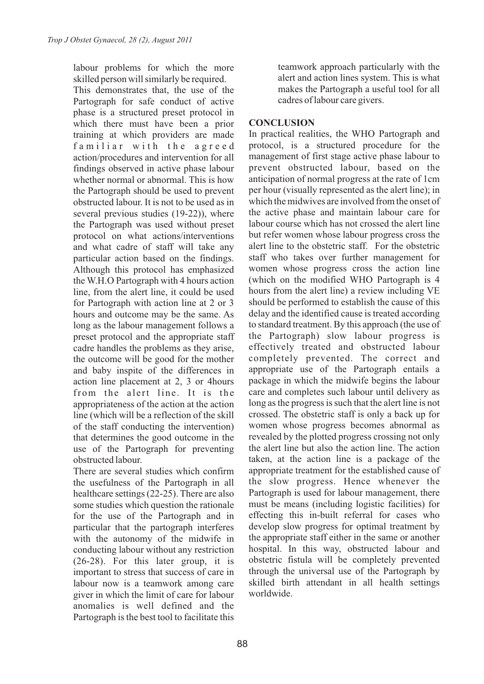labour problems for which the more skilled person will similarly be required.

This demonstrates that, the use of the Partograph for safe conduct of active phase is a structured preset protocol in which there must have been a prior training at which providers are made familiar with the agreed action/procedures and intervention for all findings observed in active phase labour whether normal or abnormal. This is how the Partograph should be used to prevent obstructed labour. It is not to be used as in several previous studies (19-22)), where the Partograph was used without preset protocol on what actions/interventions and what cadre of staff will take any particular action based on the findings. Although this protocol has emphasized the W.H.O Partograph with 4 hours action line, from the alert line, it could be used for Partograph with action line at 2 or 3 hours and outcome may be the same. As long as the labour management follows a preset protocol and the appropriate staff cadre handles the problems as they arise, the outcome will be good for the mother and baby inspite of the differences in action line placement at 2, 3 or 4hours from the alert line. It is the appropriateness of the action at the action line (which will be a reflection of the skill of the staff conducting the intervention) that determines the good outcome in the use of the Partograph for preventing obstructed labour.

There are several studies which confirm the usefulness of the Partograph in all healthcare settings (22-25). There are also some studies which question the rationale for the use of the Partograph and in particular that the partograph interferes with the autonomy of the midwife in conducting labour without any restriction (26-28). For this later group, it is important to stress that success of care in labour now is a teamwork among care giver in which the limit of care for labour anomalies is well defined and the Partograph is the best tool to facilitate this teamwork approach particularly with the alert and action lines system. This is what makes the Partograph a useful tool for all cadres of labour care givers.

## **CONCLUSION**

In practical realities, the WHO Partograph and protocol, is a structured procedure for the management of first stage active phase labour to prevent obstructed labour, based on the anticipation of normal progress at the rate of 1cm per hour (visually represented as the alert line); in which the midwives are involved from the onset of the active phase and maintain labour care for labour course which has not crossed the alert line but refer women whose labour progress cross the alert line to the obstetric staff. For the obstetric staff who takes over further management for women whose progress cross the action line (which on the modified WHO Partograph is 4 hours from the alert line) a review including VE should be performed to establish the cause of this delay and the identified cause is treated according to standard treatment. By this approach (the use of the Partograph) slow labour progress is effectively treated and obstructed labour completely prevented. The correct and appropriate use of the Partograph entails a package in which the midwife begins the labour care and completes such labour until delivery as long as the progress is such that the alert line is not crossed. The obstetric staff is only a back up for women whose progress becomes abnormal as revealed by the plotted progress crossing not only the alert line but also the action line. The action taken, at the action line is a package of the appropriate treatment for the established cause of the slow progress. Hence whenever the Partograph is used for labour management, there must be means (including logistic facilities) for effecting this in-built referral for cases who develop slow progress for optimal treatment by the appropriate staff either in the same or another hospital. In this way, obstructed labour and obstetric fistula will be completely prevented through the universal use of the Partograph by skilled birth attendant in all health settings worldwide.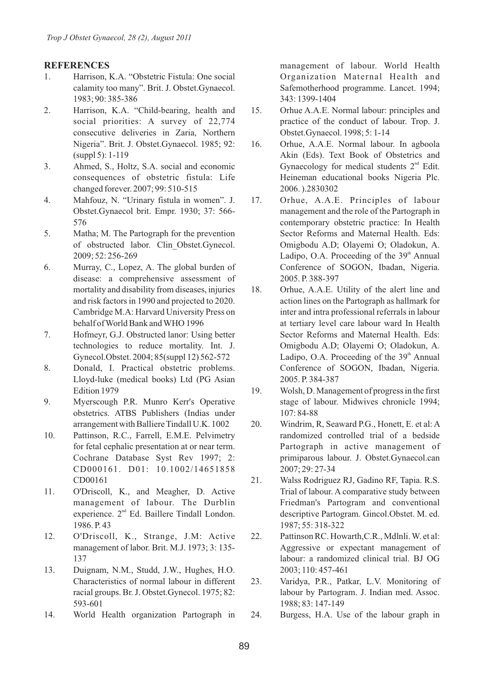#### **REFERENCES**

- 1. Harrison, K.A. "Obstetric Fistula: One social calamity too many". Brit. J. Obstet.Gynaecol. 1983; 90: 385-386
- 2. Harrison, K.A. "Child-bearing, health and social priorities: A survey of 22,774 consecutive deliveries in Zaria, Northern Nigeria". Brit. J. Obstet.Gynaecol. 1985; 92: (suppl 5): 1-119
- 3. Ahmed, S., Holtz, S.A. social and economic consequences of obstetric fistula: Life changed forever. 2007; 99: 510-515
- 4. Mahfouz, N. "Urinary fistula in women". J. Obstet.Gynaecol brit. Empr. 1930; 37: 566- 576
- 5. Matha; M. The Partograph for the prevention of obstructed labor. Clin\_Obstet.Gynecol. 2009; 52: 256-269
- 6. Murray, C., Lopez, A. The global burden of disease: a comprehensive assessment of mortality and disability from diseases, injuries and risk factors in 1990 and projected to 2020. Cambridge M.A: Harvard University Press on behalf of World Bank and WHO 1996
- 7. Hofmeyr, G.J. Obstructed lanor: Using better technologies to reduce mortality. Int. J. Gynecol.Obstet. 2004; 85(suppl 12) 562-572
- 8. Donald, I. Practical obstetric problems. Lloyd-luke (medical books) Ltd (PG Asian Edition 1979
- 9. Myerscough P.R. Munro Kerr's Operative obstetrics. ATBS Publishers (Indias under arrangement with Balliere Tindall U.K. 1002
- 10. Pattinson, R.C., Farrell, E.M.E. Pelvimetry for fetal cephalic presentation at or near term. Cochrane Database Syst Rev 1997; 2: CD000161. D01: 10.1002/14651858 CD00161
- 11. O'Driscoll, K., and Meagher, D. Active management of labour. The Durblin experience. 2<sup>nd</sup> Ed. Baillere Tindall London. 1986. P. 43
- 12. O'Driscoll, K., Strange, J.M: Active management of labor. Brit. M.J. 1973; 3: 135- 137
- 13. Duignam, N.M., Studd, J.W., Hughes, H.O. Characteristics of normal labour in different racial groups. Br. J. Obstet.Gynecol. 1975; 82: 593-601
- 14. World Health organization Partograph in

management of labour. World Health Organization Maternal Health and Safemotherhood programme. Lancet. 1994; 343: 1399-1404

- 15. Orhue A.A.E. Normal labour: principles and practice of the conduct of labour. Trop. J. Obstet.Gynaecol. 1998; 5: 1-14
- 16. Orhue, A.A.E. Normal labour. In agboola Akin (Eds). Text Book of Obstetrics and Gynaecology for medical students  $2<sup>nd</sup>$  Edit. Heineman educational books Nigeria Plc. 2006. ).2830302
- 17. Orhue, A.A.E. Principles of labour management and the role of the Partograph in contemporary obstetric practice: In Health Sector Reforms and Maternal Health. Eds: Omigbodu A.D; Olayemi O; Oladokun, A. Ladipo, O.A. Proceeding of the  $39<sup>th</sup>$  Annual Conference of SOGON, Ibadan, Nigeria. 2005. P. 388-397
- 18. Orhue, A.A.E. Utility of the alert line and action lines on the Partograph as hallmark for inter and intra professional referrals in labour at tertiary level care labour ward In Health Sector Reforms and Maternal Health. Eds: Omigbodu A.D; Olayemi O; Oladokun, A. Ladipo, O.A. Proceeding of the  $39<sup>th</sup>$  Annual Conference of SOGON, Ibadan, Nigeria. 2005. P. 384-387
- 19. Wolsh, D. Management of progress in the first stage of labour. Midwives chronicle 1994; 107: 84-88
- 20. Windrim, R. Seaward P.G., Honett, E. et al: A randomized controlled trial of a bedside Partograph in active management of primiparous labour. J. Obstet.Gynaecol.can 2007; 29: 27-34
- 21. Walss Rodriguez RJ, Gadino RF, Tapia. R.S. Trial of labour. A comparative study between Friedman's Partogram and conventional descriptive Partogram. Gincol.Obstet. M. ed. 1987; 55: 318-322
- 22. Pattinson RC. Howarth,C.R., Mdlnli. W. et al: Aggressive or expectant management of labour: a randomized clinical trial. BJ OG 2003; 110: 457-461
- 23. Varidya, P.R., Patkar, L.V. Monitoring of labour by Partogram. J. Indian med. Assoc. 1988; 83: 147-149
- 24. Burgess, H.A. Use of the labour graph in